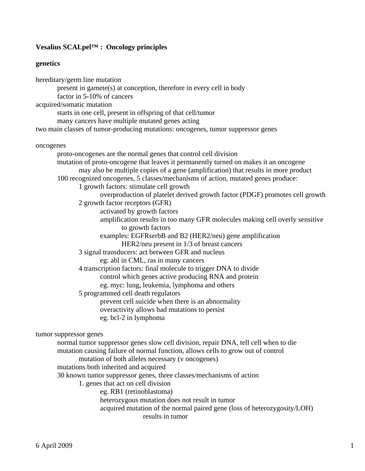# **Vesalius SCALpel™ : Oncology principles**

### **genetics**

hereditary/germ line mutation present in gamete(s) at conception, therefore in every cell in body factor in 5-10% of cancers acquired/somatic mutation starts in one cell, present in offspring of that cell/tumor many cancers have multiple mutated genes acting two main classes of tumor-producing mutations: oncogenes, tumor suppressor genes oncogenes proto-oncogenes are the normal genes that control cell division mutation of proto-oncogene that leaves it permanently turned on makes it an oncogene may also be multiple copies of a gene (amplification) that results in more product 100 recognized oncogenes, 5 classes/mechanisms of action, mutated genes produce: 1 growth factors: stimulate cell growth overproduction of platelet derived growth factor (PDGF) promotes cell growth 2 growth factor receptors (GFR) activated by growth factors amplification results in too many GFR molecules making cell overly sensitive to growth factors examples: EGFRserbB and B2 (HER2/neu) gene amplification HER2/neu present in 1/3 of breast cancers 3 signal transducers: act between GFR and nucleus eg: abl in CML, ras in many cancers 4 transcription factors: final molecule to trigger DNA to divide control which genes active producing RNA and protein eg. myc: lung, leukemia, lymphoma and others 5 programmed cell death regulators prevent cell suicide when there is an abnormality overactivity allows bad mutations to persist eg. bcl-2 in lymphoma tumor suppressor genes normal tumor suppressor genes slow cell division, repair DNA, tell cell when to die mutation causing failure of normal function, allows cells to grow out of control mutation of both alleles necessary (v oncogenes) mutations both inherited and acquired 30 known tumor suppressor genes, three classes/mechanisms of action 1. genes that act on cell division eg. RB1 (retinoblastoma) heterozygous mutation does not result in tumor acquired mutation of the normal paired gene (loss of heterozygosity/LOH) results in tumor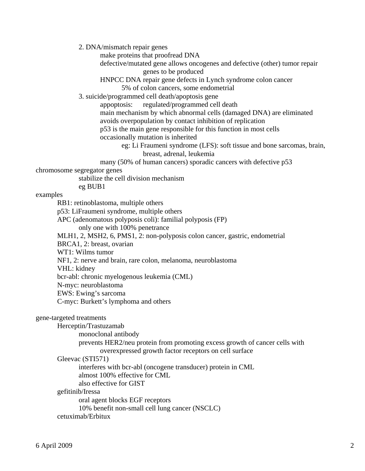2. DNA/mismatch repair genes

make proteins that proofread DNA

 defective/mutated gene allows oncogenes and defective (other) tumor repair genes to be produced

HNPCC DNA repair gene defects in Lynch syndrome colon cancer

5% of colon cancers, some endometrial

3. suicide/programmed cell death/apoptosis gene

 appoptosis: regulated/programmed cell death main mechanism by which abnormal cells (damaged DNA) are eliminated avoids overpopulation by contact inhibition of replication p53 is the main gene responsible for this function in most cells

occasionally mutation is inherited

 eg: Li Fraumeni syndrome (LFS): soft tissue and bone sarcomas, brain, breast, adrenal, leukemia

many (50% of human cancers) sporadic cancers with defective p53

chromosome segregator genes

stabilize the cell division mechanism

eg BUB1

examples

RB1: retinoblastoma, multiple others

p53: LiFraumeni syndrome, multiple others

APC (adenomatous polyposis coli): familial polyposis (FP)

only one with 100% penetrance

MLH1, 2, MSH2, 6, PMS1, 2: non-polyposis colon cancer, gastric, endometrial

BRCA1, 2: breast, ovarian

WT1: Wilms tumor

NF1, 2: nerve and brain, rare colon, melanoma, neuroblastoma

VHL: kidney

bcr-abl: chronic myelogenous leukemia (CML)

N-myc: neuroblastoma

EWS: Ewing's sarcoma

C-myc: Burkett's lymphoma and others

## gene-targeted treatments

Herceptin/Trastuzamab

monoclonal antibody

 prevents HER2/neu protein from promoting excess growth of cancer cells with overexpressed growth factor receptors on cell surface

### Gleevac (STI571)

interferes with bcr-abl (oncogene transducer) protein in CML

almost 100% effective for CML

also effective for GIST

### gefitinib/Iressa

 oral agent blocks EGF receptors 10% benefit non-small cell lung cancer (NSCLC) cetuximab/Erbitux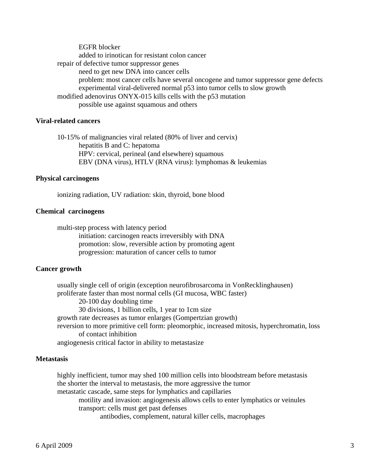EGFR blocker added to irinotican for resistant colon cancer repair of defective tumor suppressor genes need to get new DNA into cancer cells problem: most cancer cells have several oncogene and tumor suppressor gene defects experimental viral-delivered normal p53 into tumor cells to slow growth modified adenovirus ONYX-015 kills cells with the p53 mutation possible use against squamous and others

# **Viral-related cancers**

 10-15% of malignancies viral related (80% of liver and cervix) hepatitis B and C: hepatoma HPV: cervical, perineal (and elsewhere) squamous EBV (DNA virus), HTLV (RNA virus): lymphomas & leukemias

### **Physical carcinogens**

ionizing radiation, UV radiation: skin, thyroid, bone blood

### **Chemical carcinogens**

 multi-step process with latency period initiation: carcinogen reacts irreversibly with DNA promotion: slow, reversible action by promoting agent progression: maturation of cancer cells to tumor

### **Cancer growth**

 usually single cell of origin (exception neurofibrosarcoma in VonRecklinghausen) proliferate faster than most normal cells (GI mucosa, WBC faster) 20-100 day doubling time 30 divisions, 1 billion cells, 1 year to 1cm size growth rate decreases as tumor enlarges (Gompertzian growth) reversion to more primitive cell form: pleomorphic, increased mitosis, hyperchromatin, loss of contact inhibition angiogenesis critical factor in ability to metastasize

### **Metastasis**

 highly inefficient, tumor may shed 100 million cells into bloodstream before metastasis the shorter the interval to metastasis, the more aggressive the tumor metastatic cascade, same steps for lymphatics and capillaries motility and invasion: angiogenesis allows cells to enter lymphatics or veinules transport: cells must get past defenses antibodies, complement, natural killer cells, macrophages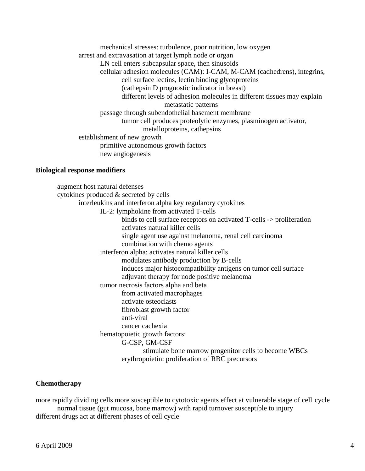mechanical stresses: turbulence, poor nutrition, low oxygen arrest and extravasation at target lymph node or organ LN cell enters subcapsular space, then sinusoids cellular adhesion molecules (CAM): I-CAM, M-CAM (cadhedrens), integrins, cell surface lectins, lectin binding glycoproteins (cathepsin D prognostic indicator in breast) different levels of adhesion molecules in different tissues may explain metastatic patterns passage through subendothelial basement membrane tumor cell produces proteolytic enzymes, plasminogen activator, metalloproteins, cathepsins establishment of new growth primitive autonomous growth factors new angiogenesis

### **Biological response modifiers**

 augment host natural defenses cytokines produced & secreted by cells interleukins and interferon alpha key regularory cytokines IL-2: lymphokine from activated T-cells binds to cell surface receptors on activated T-cells -> proliferation activates natural killer cells single agent use against melanoma, renal cell carcinoma combination with chemo agents interferon alpha: activates natural killer cells modulates antibody production by B-cells induces major histocompatibility antigens on tumor cell surface adjuvant therapy for node positive melanoma tumor necrosis factors alpha and beta from activated macrophages activate osteoclasts fibroblast growth factor anti-viral cancer cachexia hematopoietic growth factors: G-CSP, GM-CSF stimulate bone marrow progenitor cells to become WBCs erythropoietin: proliferation of RBC precursors

# **Chemotherapy**

more rapidly dividing cells more susceptible to cytotoxic agents effect at vulnerable stage of cell cycle normal tissue (gut mucosa, bone marrow) with rapid turnover susceptible to injury different drugs act at different phases of cell cycle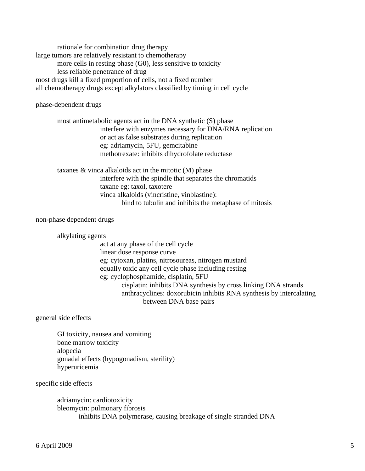rationale for combination drug therapy large tumors are relatively resistant to chemotherapy more cells in resting phase (G0), less sensitive to toxicity less reliable penetrance of drug most drugs kill a fixed proportion of cells, not a fixed number all chemotherapy drugs except alkylators classified by timing in cell cycle

phase-dependent drugs

 most antimetabolic agents act in the DNA synthetic (S) phase interfere with enzymes necessary for DNA/RNA replication or act as false substrates during replication eg: adriamycin, 5FU, gemcitabine methotrexate: inhibits dihydrofolate reductase

 taxanes & vinca alkaloids act in the mitotic (M) phase interfere with the spindle that separates the chromatids taxane eg: taxol, taxotere vinca alkaloids (vincristine, vinblastine): bind to tubulin and inhibits the metaphase of mitosis

non-phase dependent drugs

alkylating agents

 act at any phase of the cell cycle linear dose response curve eg: cytoxan, platins, nitrosoureas, nitrogen mustard equally toxic any cell cycle phase including resting eg: cyclophosphamide, cisplatin, 5FU cisplatin: inhibits DNA synthesis by cross linking DNA strands anthracyclines: doxorubicin inhibits RNA synthesis by intercalating between DNA base pairs

general side effects

 GI toxicity, nausea and vomiting bone marrow toxicity alopecia gonadal effects (hypogonadism, sterility) hyperuricemia

specific side effects

 adriamycin: cardiotoxicity bleomycin: pulmonary fibrosis inhibits DNA polymerase, causing breakage of single stranded DNA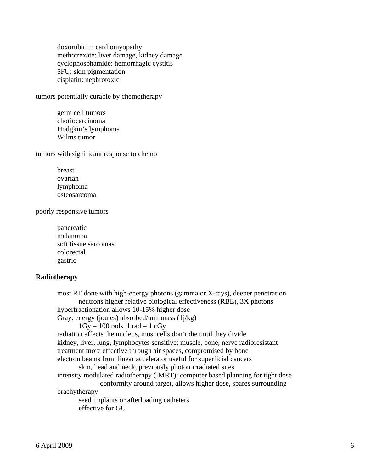doxorubicin: cardiomyopathy methotrexate: liver damage, kidney damage cyclophosphamide: hemorrhagic cystitis 5FU: skin pigmentation cisplatin: nephrotoxic

tumors potentially curable by chemotherapy

 germ cell tumors choriocarcinoma Hodgkin's lymphoma Wilms tumor

tumors with significant response to chemo

 breast ovarian lymphoma osteosarcoma

poorly responsive tumors

 pancreatic melanoma soft tissue sarcomas colorectal gastric

# **Radiotherapy**

 most RT done with high-energy photons (gamma or X-rays), deeper penetration neutrons higher relative biological effectiveness (RBE), 3X photons hyperfractionation allows 10-15% higher dose Gray: energy (joules) absorbed/unit mass  $(1j/kg)$  $1Gy = 100$  rads, 1 rad = 1 cGy radiation affects the nucleus, most cells don't die until they divide kidney, liver, lung, lymphocytes sensitive; muscle, bone, nerve radioresistant treatment more effective through air spaces, compromised by bone electron beams from linear accelerator useful for superficial cancers skin, head and neck, previously photon irradiated sites intensity modulated radiotherapy (IMRT): computer based planning for tight dose conformity around target, allows higher dose, spares surrounding brachytherapy seed implants or afterloading catheters effective for GU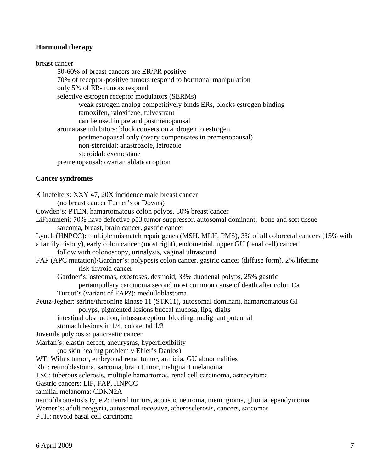# **Hormonal therapy**

breast cancer 50-60% of breast cancers are ER/PR positive 70% of receptor-positive tumors respond to hormonal manipulation only 5% of ER- tumors respond selective estrogen receptor modulators (SERMs) weak estrogen analog competitively binds ERs, blocks estrogen binding tamoxifen, raloxifene, fulvestrant can be used in pre and postmenopausal aromatase inhibitors: block conversion androgen to estrogen postmenopausal only (ovary compensates in premenopausal) non-steroidal: anastrozole, letrozole steroidal: exemestane premenopausal: ovarian ablation option

## **Cancer syndromes**

Klinefelters: XXY 47, 20X incidence male breast cancer (no breast cancer Turner's or Downs) Cowden's: PTEN, hamartomatous colon polyps, 50% breast cancer LiFraumeni: 70% have defective p53 tumor suppressor, autosomal dominant; bone and soft tissue sarcoma, breast, brain cancer, gastric cancer Lynch (HNPCC): multiple mismatch repair genes (MSH, MLH, PMS), 3% of all colorectal cancers (15% with a family history), early colon cancer (most right), endometrial, upper GU (renal cell) cancer follow with colonoscopy, urinalysis, vaginal ultrasound FAP (APC mutation)/Gardner's: polyposis colon cancer, gastric cancer (diffuse form), 2% lifetime risk thyroid cancer Gardner's: osteomas, exostoses, desmoid, 33% duodenal polyps, 25% gastric periampullary carcinoma second most common cause of death after colon Ca Turcot's (variant of FAP?): medulloblastoma Peutz-Jegher: serine/threonine kinase 11 (STK11), autosomal dominant, hamartomatous GI polyps, pigmented lesions buccal mucosa, lips, digits intestinal obstruction, intussusception, bleeding, malignant potential stomach lesions in 1/4, colorectal 1/3 Juvenile polyposis: pancreatic cancer Marfan's: elastin defect, aneurysms, hyperflexibility (no skin healing problem v Ehler's Danlos) WT: Wilms tumor, embryonal renal tumor, aniridia, GU abnormalities Rb1: retinoblastoma, sarcoma, brain tumor, malignant melanoma TSC: tuberous sclerosis, multiple hamartomas, renal cell carcinoma, astrocytoma Gastric cancers: LiF, FAP, HNPCC familial melanoma: CDKN2A neurofibromatosis type 2: neural tumors, acoustic neuroma, meningioma, glioma, ependymoma Werner's: adult progyria, autosomal recessive, atherosclerosis, cancers, sarcomas

PTH: nevoid basal cell carcinoma